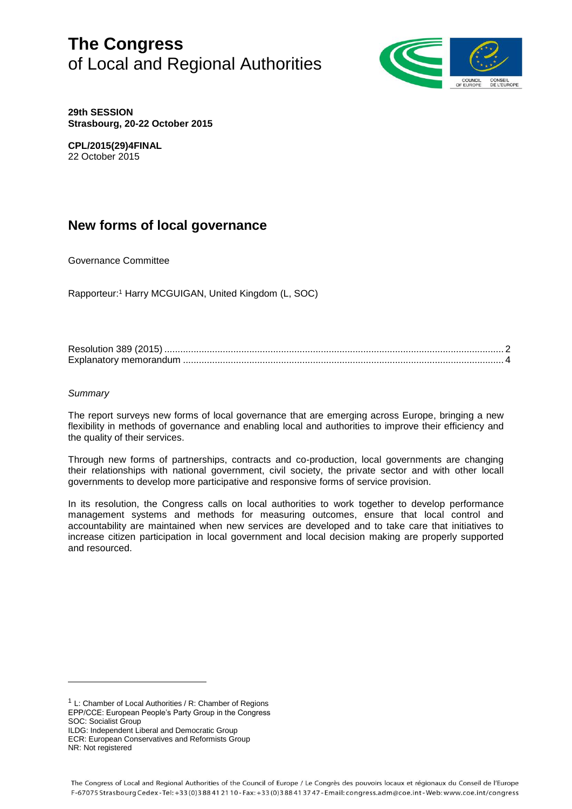# **The Congress** of Local and Regional Authorities



**29th SESSION Strasbourg, 20-22 October 2015**

**CPL/2015(29)4FINAL** 22 October 2015

# **New forms of local governance**

Governance Committee

Rapporteur: <sup>1</sup> Harry MCGUIGAN, United Kingdom (L, SOC)

# *Summary*

l

The report surveys new forms of local governance that are emerging across Europe, bringing a new flexibility in methods of governance and enabling local and authorities to improve their efficiency and the quality of their services.

Through new forms of partnerships, contracts and co-production, local governments are changing their relationships with national government, civil society, the private sector and with other locall governments to develop more participative and responsive forms of service provision.

In its resolution, the Congress calls on local authorities to work together to develop performance management systems and methods for measuring outcomes, ensure that local control and accountability are maintained when new services are developed and to take care that initiatives to increase citizen participation in local government and local decision making are properly supported and resourced.

ILDG: Independent Liberal and Democratic Group

<sup>1</sup> L: Chamber of Local Authorities / R: Chamber of Regions EPP/CCE: European People's Party Group in the Congress SOC: Socialist Group

ECR: European Conservatives and Reformists Group NR: Not registered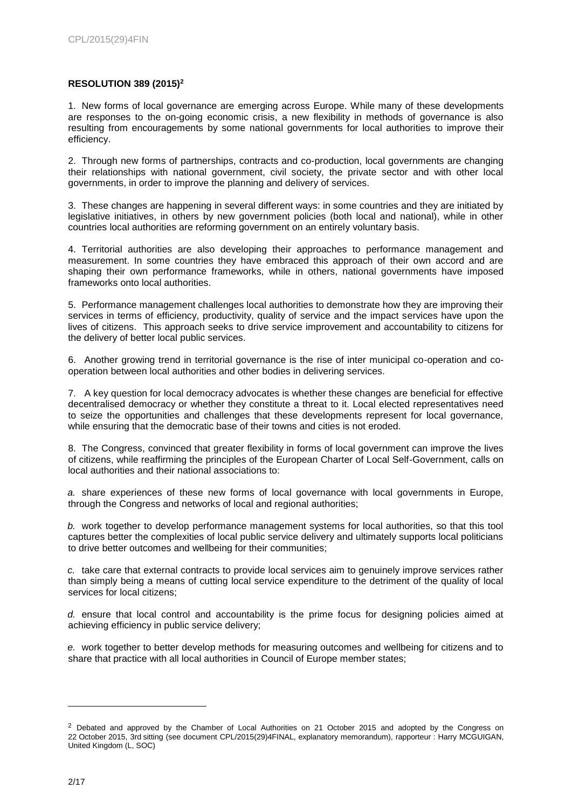# **RESOLUTION 389 (2015)<sup>2</sup>**

1. New forms of local governance are emerging across Europe. While many of these developments are responses to the on-going economic crisis, a new flexibility in methods of governance is also resulting from encouragements by some national governments for local authorities to improve their efficiency.

2. Through new forms of partnerships, contracts and co-production, local governments are changing their relationships with national government, civil society, the private sector and with other local governments, in order to improve the planning and delivery of services.

3. These changes are happening in several different ways: in some countries and they are initiated by legislative initiatives, in others by new government policies (both local and national), while in other countries local authorities are reforming government on an entirely voluntary basis.

4. Territorial authorities are also developing their approaches to performance management and measurement. In some countries they have embraced this approach of their own accord and are shaping their own performance frameworks, while in others, national governments have imposed frameworks onto local authorities.

5. Performance management challenges local authorities to demonstrate how they are improving their services in terms of efficiency, productivity, quality of service and the impact services have upon the lives of citizens. This approach seeks to drive service improvement and accountability to citizens for the delivery of better local public services.

6. Another growing trend in territorial governance is the rise of inter municipal co-operation and cooperation between local authorities and other bodies in delivering services.

7. A key question for local democracy advocates is whether these changes are beneficial for effective decentralised democracy or whether they constitute a threat to it. Local elected representatives need to seize the opportunities and challenges that these developments represent for local governance, while ensuring that the democratic base of their towns and cities is not eroded.

8. The Congress, convinced that greater flexibility in forms of local government can improve the lives of citizens, while reaffirming the principles of the European Charter of Local Self-Government, calls on local authorities and their national associations to:

*a.* share experiences of these new forms of local governance with local governments in Europe, through the Congress and networks of local and regional authorities;

*b.* work together to develop performance management systems for local authorities, so that this tool captures better the complexities of local public service delivery and ultimately supports local politicians to drive better outcomes and wellbeing for their communities;

*c.* take care that external contracts to provide local services aim to genuinely improve services rather than simply being a means of cutting local service expenditure to the detriment of the quality of local services for local citizens;

*d.* ensure that local control and accountability is the prime focus for designing policies aimed at achieving efficiency in public service delivery;

*e.* work together to better develop methods for measuring outcomes and wellbeing for citizens and to share that practice with all local authorities in Council of Europe member states;

<sup>&</sup>lt;sup>2</sup> Debated and approved by the Chamber of Local Authorities on 21 October 2015 and adopted by the Congress on 22 October 2015, 3rd sitting (see document CPL/2015(29)4FINAL, explanatory memorandum), rapporteur : Harry MCGUIGAN, United Kingdom (L, SOC)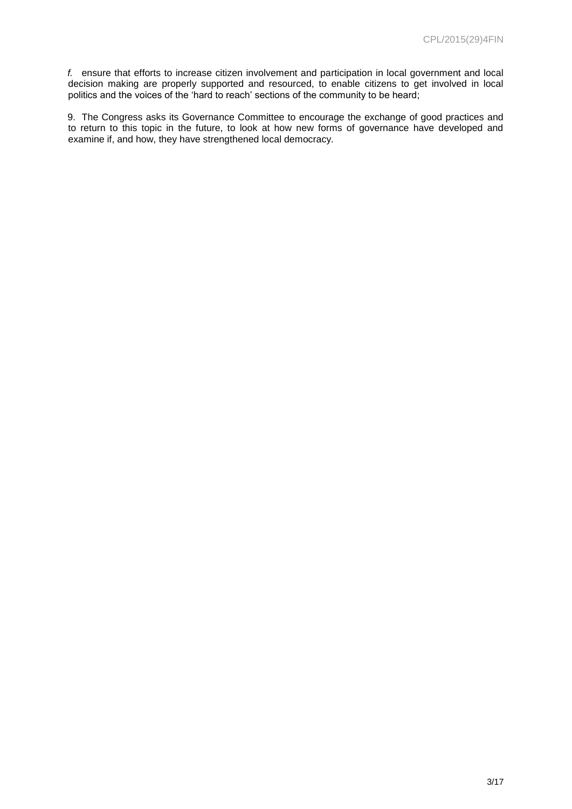*f.* ensure that efforts to increase citizen involvement and participation in local government and local decision making are properly supported and resourced, to enable citizens to get involved in local politics and the voices of the 'hard to reach' sections of the community to be heard;

9. The Congress asks its Governance Committee to encourage the exchange of good practices and to return to this topic in the future, to look at how new forms of governance have developed and examine if, and how, they have strengthened local democracy.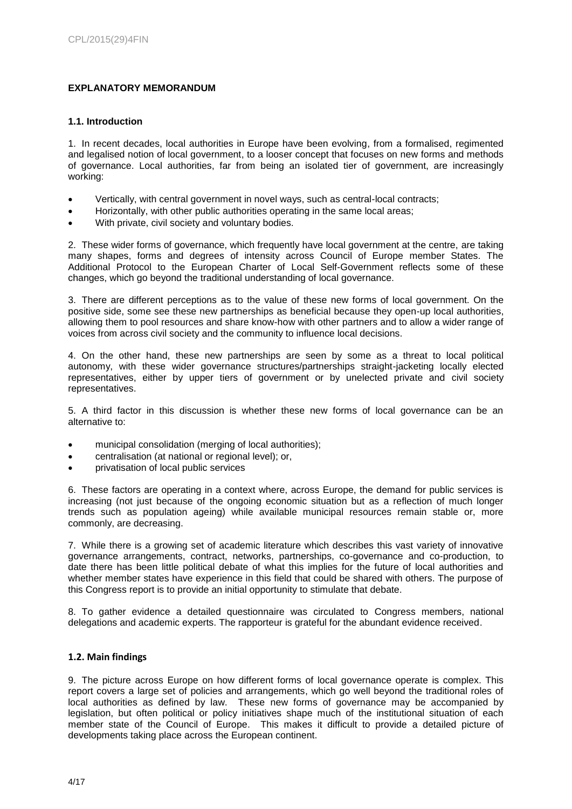# **EXPLANATORY MEMORANDUM**

# **1.1. Introduction**

1. In recent decades, local authorities in Europe have been evolving, from a formalised, regimented and legalised notion of local government, to a looser concept that focuses on new forms and methods of governance. Local authorities, far from being an isolated tier of government, are increasingly working:

- Vertically, with central government in novel ways, such as central-local contracts;
- Horizontally, with other public authorities operating in the same local areas;
- With private, civil society and voluntary bodies.

2. These wider forms of governance, which frequently have local government at the centre, are taking many shapes, forms and degrees of intensity across Council of Europe member States. The Additional Protocol to the European Charter of Local Self-Government reflects some of these changes, which go beyond the traditional understanding of local governance.

3. There are different perceptions as to the value of these new forms of local government. On the positive side, some see these new partnerships as beneficial because they open-up local authorities, allowing them to pool resources and share know-how with other partners and to allow a wider range of voices from across civil society and the community to influence local decisions.

4. On the other hand, these new partnerships are seen by some as a threat to local political autonomy, with these wider governance structures/partnerships straight-jacketing locally elected representatives, either by upper tiers of government or by unelected private and civil society representatives.

5. A third factor in this discussion is whether these new forms of local governance can be an alternative to:

- municipal consolidation (merging of local authorities);
- centralisation (at national or regional level); or,
- privatisation of local public services

6. These factors are operating in a context where, across Europe, the demand for public services is increasing (not just because of the ongoing economic situation but as a reflection of much longer trends such as population ageing) while available municipal resources remain stable or, more commonly, are decreasing.

7. While there is a growing set of academic literature which describes this vast variety of innovative governance arrangements, contract, networks, partnerships, co-governance and co-production, to date there has been little political debate of what this implies for the future of local authorities and whether member states have experience in this field that could be shared with others. The purpose of this Congress report is to provide an initial opportunity to stimulate that debate.

8. To gather evidence a detailed questionnaire was circulated to Congress members, national delegations and academic experts. The rapporteur is grateful for the abundant evidence received.

# **1.2. Main findings**

9. The picture across Europe on how different forms of local governance operate is complex. This report covers a large set of policies and arrangements, which go well beyond the traditional roles of local authorities as defined by law. These new forms of governance may be accompanied by legislation, but often political or policy initiatives shape much of the institutional situation of each member state of the Council of Europe. This makes it difficult to provide a detailed picture of developments taking place across the European continent.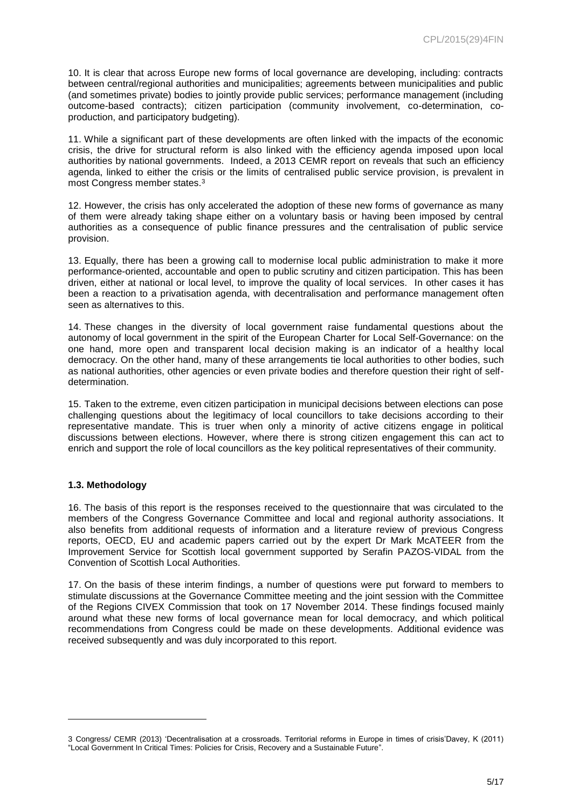10. It is clear that across Europe new forms of local governance are developing, including: contracts between central/regional authorities and municipalities; agreements between municipalities and public (and sometimes private) bodies to jointly provide public services; performance management (including outcome-based contracts); citizen participation (community involvement, co-determination, coproduction, and participatory budgeting).

11. While a significant part of these developments are often linked with the impacts of the economic crisis, the drive for structural reform is also linked with the efficiency agenda imposed upon local authorities by national governments. Indeed, a 2013 CEMR report on reveals that such an efficiency agenda, linked to either the crisis or the limits of centralised public service provision, is prevalent in most Congress member states.<sup>3</sup>

12. However, the crisis has only accelerated the adoption of these new forms of governance as many of them were already taking shape either on a voluntary basis or having been imposed by central authorities as a consequence of public finance pressures and the centralisation of public service provision.

13. Equally, there has been a growing call to modernise local public administration to make it more performance-oriented, accountable and open to public scrutiny and citizen participation. This has been driven, either at national or local level, to improve the quality of local services. In other cases it has been a reaction to a privatisation agenda, with decentralisation and performance management often seen as alternatives to this.

14. These changes in the diversity of local government raise fundamental questions about the autonomy of local government in the spirit of the European Charter for Local Self-Governance: on the one hand, more open and transparent local decision making is an indicator of a healthy local democracy. On the other hand, many of these arrangements tie local authorities to other bodies, such as national authorities, other agencies or even private bodies and therefore question their right of selfdetermination.

15. Taken to the extreme, even citizen participation in municipal decisions between elections can pose challenging questions about the legitimacy of local councillors to take decisions according to their representative mandate. This is truer when only a minority of active citizens engage in political discussions between elections. However, where there is strong citizen engagement this can act to enrich and support the role of local councillors as the key political representatives of their community.

#### **1.3. Methodology**

l

16. The basis of this report is the responses received to the questionnaire that was circulated to the members of the Congress Governance Committee and local and regional authority associations. It also benefits from additional requests of information and a literature review of previous Congress reports, OECD, EU and academic papers carried out by the expert Dr Mark McATEER from the Improvement Service for Scottish local government supported by Serafin PAZOS-VIDAL from the Convention of Scottish Local Authorities.

17. On the basis of these interim findings, a number of questions were put forward to members to stimulate discussions at the Governance Committee meeting and the joint session with the Committee of the Regions CIVEX Commission that took on 17 November 2014. These findings focused mainly around what these new forms of local governance mean for local democracy, and which political recommendations from Congress could be made on these developments. Additional evidence was received subsequently and was duly incorporated to this report.

<sup>3</sup> Congress/ CEMR (2013) 'Decentralisation at a crossroads. Territorial reforms in Europe in times of crisis'Davey, K (2011) "Local Government In Critical Times: Policies for Crisis, Recovery and a Sustainable Future".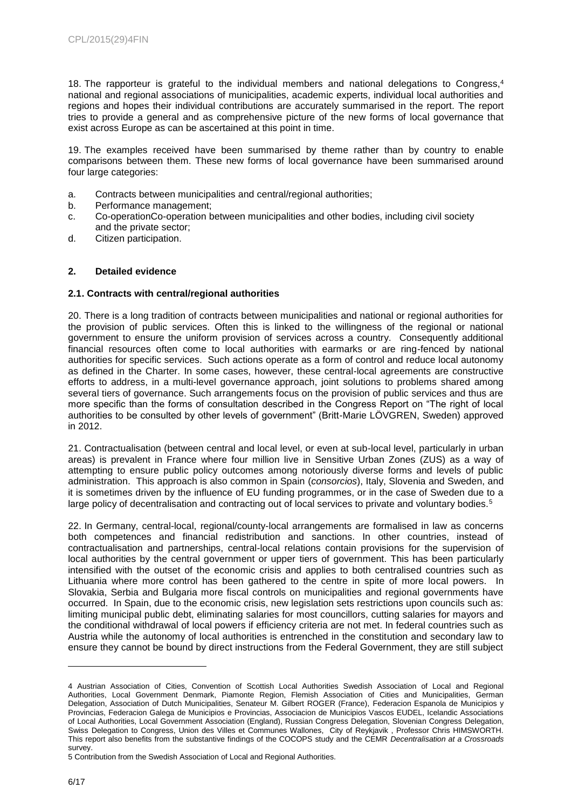18. The rapporteur is grateful to the individual members and national delegations to Congress, 4 national and regional associations of municipalities, academic experts, individual local authorities and regions and hopes their individual contributions are accurately summarised in the report. The report tries to provide a general and as comprehensive picture of the new forms of local governance that exist across Europe as can be ascertained at this point in time.

19. The examples received have been summarised by theme rather than by country to enable comparisons between them. These new forms of local governance have been summarised around four large categories:

- a. Contracts between municipalities and central/regional authorities;
- b. Performance management;
- c. Co-operationCo-operation between municipalities and other bodies, including civil society and the private sector;
- d. Citizen participation.

# **2. Detailed evidence**

# **2.1. Contracts with central/regional authorities**

20. There is a long tradition of contracts between municipalities and national or regional authorities for the provision of public services. Often this is linked to the willingness of the regional or national government to ensure the uniform provision of services across a country. Consequently additional financial resources often come to local authorities with earmarks or are ring-fenced by national authorities for specific services. Such actions operate as a form of control and reduce local autonomy as defined in the Charter. In some cases, however, these central-local agreements are constructive efforts to address, in a multi-level governance approach, joint solutions to problems shared among several tiers of governance. Such arrangements focus on the provision of public services and thus are more specific than the forms of consultation described in the Congress Report on "The right of local authorities to be consulted by other levels of government" (Britt-Marie LÖVGREN, Sweden) approved in 2012.

21. Contractualisation (between central and local level, or even at sub-local level, particularly in urban areas) is prevalent in France where four million live in Sensitive Urban Zones (ZUS) as a way of attempting to ensure public policy outcomes among notoriously diverse forms and levels of public administration. This approach is also common in Spain (*consorcios*), Italy, Slovenia and Sweden, and it is sometimes driven by the influence of EU funding programmes, or in the case of Sweden due to a large policy of decentralisation and contracting out of local services to private and voluntary bodies.<sup>5</sup>

22. In Germany, central-local, regional/county-local arrangements are formalised in law as concerns both competences and financial redistribution and sanctions. In other countries, instead of contractualisation and partnerships, central-local relations contain provisions for the supervision of local authorities by the central government or upper tiers of government. This has been particularly intensified with the outset of the economic crisis and applies to both centralised countries such as Lithuania where more control has been gathered to the centre in spite of more local powers. In Slovakia, Serbia and Bulgaria more fiscal controls on municipalities and regional governments have occurred. In Spain, due to the economic crisis, new legislation sets restrictions upon councils such as: limiting municipal public debt, eliminating salaries for most councillors, cutting salaries for mayors and the conditional withdrawal of local powers if efficiency criteria are not met. In federal countries such as Austria while the autonomy of local authorities is entrenched in the constitution and secondary law to ensure they cannot be bound by direct instructions from the Federal Government, they are still subject

<sup>4</sup> Austrian Association of Cities, Convention of Scottish Local Authorities Swedish Association of Local and Regional Authorities, Local Government Denmark, Piamonte Region, Flemish Association of Cities and Municipalities, German Delegation, Association of Dutch Municipalities, Senateur M. Gilbert ROGER (France), Federacion Espanola de Municipios y Provincias, Federacion Galega de Municipios e Provincias, Associacion de Municipios Vascos EUDEL, Icelandic Associations of Local Authorities, Local Government Association (England), Russian Congress Delegation, Slovenian Congress Delegation, Swiss Delegation to Congress, Union des Villes et Communes Wallones, City of Reykjavik , Professor Chris HIMSWORTH. This report also benefits from the substantive findings of the COCOPS study and the CEMR *Decentralisation at a Crossroads* survey.

<sup>5</sup> Contribution from the Swedish Association of Local and Regional Authorities.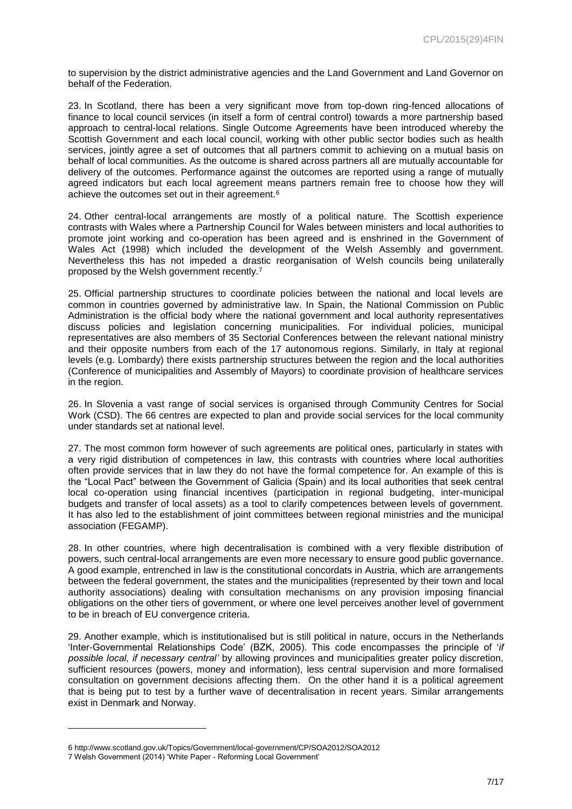to supervision by the district administrative agencies and the Land Government and Land Governor on behalf of the Federation.

23. In Scotland, there has been a very significant move from top-down ring-fenced allocations of finance to local council services (in itself a form of central control) towards a more partnership based approach to central-local relations. Single Outcome Agreements have been introduced whereby the Scottish Government and each local council, working with other public sector bodies such as health services, jointly agree a set of outcomes that all partners commit to achieving on a mutual basis on behalf of local communities. As the outcome is shared across partners all are mutually accountable for delivery of the outcomes. Performance against the outcomes are reported using a range of mutually agreed indicators but each local agreement means partners remain free to choose how they will achieve the outcomes set out in their agreement.<sup>6</sup>

24. Other central-local arrangements are mostly of a political nature. The Scottish experience contrasts with Wales where a Partnership Council for Wales between ministers and local authorities to promote joint working and co-operation has been agreed and is enshrined in the Government of Wales Act (1998) which included the development of the Welsh Assembly and government. Nevertheless this has not impeded a drastic reorganisation of Welsh councils being unilaterally proposed by the Welsh government recently.<sup>7</sup>

25. Official partnership structures to coordinate policies between the national and local levels are common in countries governed by administrative law. In Spain, the National Commission on Public Administration is the official body where the national government and local authority representatives discuss policies and legislation concerning municipalities. For individual policies, municipal representatives are also members of 35 Sectorial Conferences between the relevant national ministry and their opposite numbers from each of the 17 autonomous regions. Similarly, in Italy at regional levels (e.g. Lombardy) there exists partnership structures between the region and the local authorities (Conference of municipalities and Assembly of Mayors) to coordinate provision of healthcare services in the region.

26. In Slovenia a vast range of social services is organised through Community Centres for Social Work (CSD). The 66 centres are expected to plan and provide social services for the local community under standards set at national level.

27. The most common form however of such agreements are political ones, particularly in states with a very rigid distribution of competences in law, this contrasts with countries where local authorities often provide services that in law they do not have the formal competence for. An example of this is the "Local Pact" between the Government of Galicia (Spain) and its local authorities that seek central local co-operation using financial incentives (participation in regional budgeting, inter-municipal budgets and transfer of local assets) as a tool to clarify competences between levels of government. It has also led to the establishment of joint committees between regional ministries and the municipal association (FEGAMP).

28. In other countries, where high decentralisation is combined with a very flexible distribution of powers, such central-local arrangements are even more necessary to ensure good public governance. A good example, entrenched in law is the constitutional concordats in Austria, which are arrangements between the federal government, the states and the municipalities (represented by their town and local authority associations) dealing with consultation mechanisms on any provision imposing financial obligations on the other tiers of government, or where one level perceives another level of government to be in breach of EU convergence criteria.

29. Another example, which is institutionalised but is still political in nature, occurs in the Netherlands 'Inter-Governmental Relationships Code' (BZK, 2005). This code encompasses the principle of '*if possible local, if necessary central'* by allowing provinces and municipalities greater policy discretion, sufficient resources (powers, money and information), less central supervision and more formalised consultation on government decisions affecting them. On the other hand it is a political agreement that is being put to test by a further wave of decentralisation in recent years. Similar arrangements exist in Denmark and Norway.

<sup>6</sup> http://www.scotland.gov.uk/Topics/Government/local-government/CP/SOA2012/SOA2012

<sup>7</sup> Welsh Government (2014) 'White Paper - Reforming Local Government'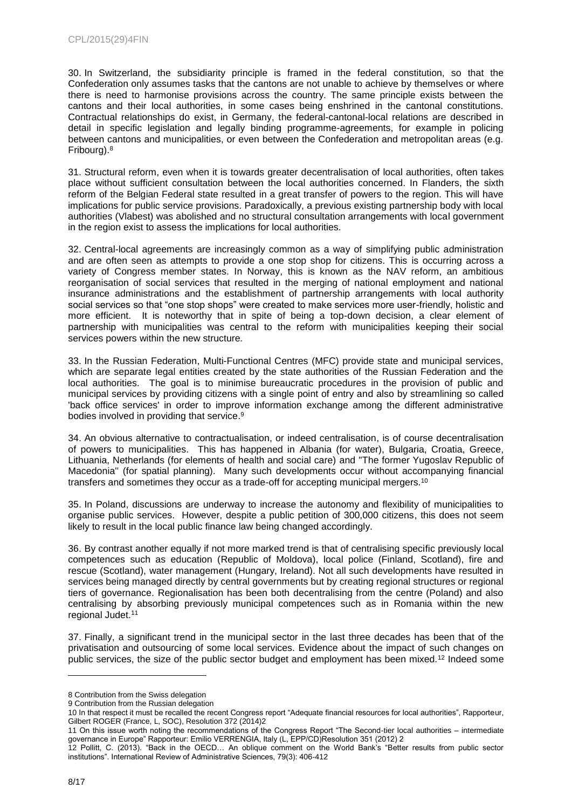30. In Switzerland, the subsidiarity principle is framed in the federal constitution, so that the Confederation only assumes tasks that the cantons are not unable to achieve by themselves or where there is need to harmonise provisions across the country. The same principle exists between the cantons and their local authorities, in some cases being enshrined in the cantonal constitutions. Contractual relationships do exist, in Germany, the federal-cantonal-local relations are described in detail in specific legislation and legally binding programme-agreements, for example in policing between cantons and municipalities, or even between the Confederation and metropolitan areas (e.g. Fribourg).<sup>8</sup>

31. Structural reform, even when it is towards greater decentralisation of local authorities, often takes place without sufficient consultation between the local authorities concerned. In Flanders, the sixth reform of the Belgian Federal state resulted in a great transfer of powers to the region. This will have implications for public service provisions. Paradoxically, a previous existing partnership body with local authorities (Vlabest) was abolished and no structural consultation arrangements with local government in the region exist to assess the implications for local authorities.

32. Central-local agreements are increasingly common as a way of simplifying public administration and are often seen as attempts to provide a one stop shop for citizens. This is occurring across a variety of Congress member states. In Norway, this is known as the NAV reform, an ambitious reorganisation of social services that resulted in the merging of national employment and national insurance administrations and the establishment of partnership arrangements with local authority social services so that "one stop shops" were created to make services more user-friendly, holistic and more efficient. It is noteworthy that in spite of being a top-down decision, a clear element of partnership with municipalities was central to the reform with municipalities keeping their social services powers within the new structure*.*

33. In the Russian Federation, Multi-Functional Centres (MFC) provide state and municipal services, which are separate legal entities created by the state authorities of the Russian Federation and the local authorities. The goal is to minimise bureaucratic procedures in the provision of public and municipal services by providing citizens with a single point of entry and also by streamlining so called 'back office services' in order to improve information exchange among the different administrative bodies involved in providing that service.<sup>9</sup>

34. An obvious alternative to contractualisation, or indeed centralisation, is of course decentralisation of powers to municipalities. This has happened in Albania (for water), Bulgaria, Croatia, Greece, Lithuania, Netherlands (for elements of health and social care) and ''The former Yugoslav Republic of Macedonia'' (for spatial planning). Many such developments occur without accompanying financial transfers and sometimes they occur as a trade-off for accepting municipal mergers.<sup>10</sup>

35. In Poland, discussions are underway to increase the autonomy and flexibility of municipalities to organise public services. However, despite a public petition of 300,000 citizens, this does not seem likely to result in the local public finance law being changed accordingly.

36. By contrast another equally if not more marked trend is that of centralising specific previously local competences such as education (Republic of Moldova), local police (Finland, Scotland), fire and rescue (Scotland), water management (Hungary, Ireland). Not all such developments have resulted in services being managed directly by central governments but by creating regional structures or regional tiers of governance. Regionalisation has been both decentralising from the centre (Poland) and also centralising by absorbing previously municipal competences such as in Romania within the new regional Judet.<sup>11</sup>

37. Finally, a significant trend in the municipal sector in the last three decades has been that of the privatisation and outsourcing of some local services. Evidence about the impact of such changes on public services, the size of the public sector budget and employment has been mixed.<sup>12</sup> Indeed some

<sup>8</sup> Contribution from the Swiss delegation

<sup>9</sup> Contribution from the Russian delegation

<sup>10</sup> In that respect it must be recalled the recent Congress report "Adequate financial resources for local authorities", Rapporteur, Gilbert ROGER (France, L, SOC), Resolution 372 (2014)2

<sup>11</sup> On this issue worth noting the recommendations of the Congress Report "The Second-tier local authorities – intermediate governance in Europe" Rapporteur: Emilio VERRENGIA, Italy (L, EPP/CD)Resolution 351 (2012) 2

<sup>12</sup> Pollitt, C. (2013). "Back in the OECD… An oblique comment on the World Bank's "Better results from public sector institutions". International Review of Administrative Sciences, 79(3): 406-412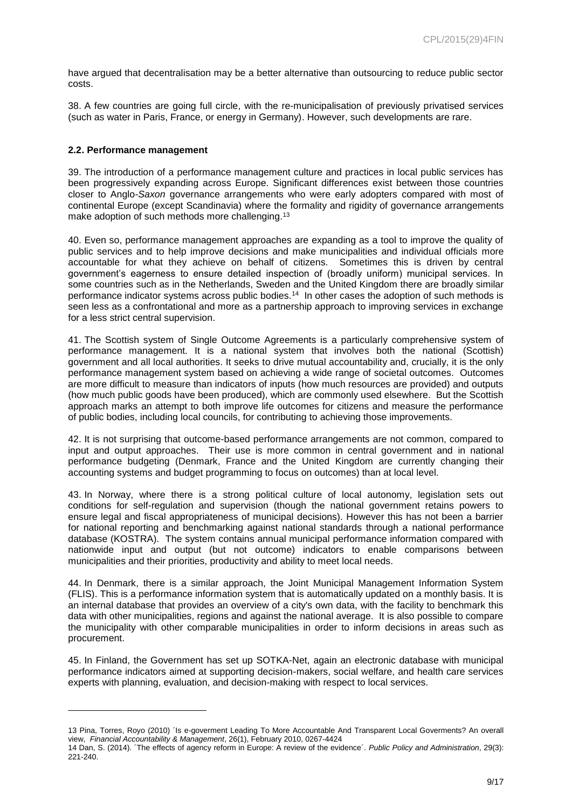have argued that decentralisation may be a better alternative than outsourcing to reduce public sector costs.

38. A few countries are going full circle, with the re-municipalisation of previously privatised services (such as water in Paris, France, or energy in Germany). However, such developments are rare.

#### **2.2. Performance management**

l

39. The introduction of a performance management culture and practices in local public services has been progressively expanding across Europe. Significant differences exist between those countries closer to Anglo*-Saxon* governance arrangements who were early adopters compared with most of continental Europe (except Scandinavia) where the formality and rigidity of governance arrangements make adoption of such methods more challenging.<sup>13</sup>

40. Even so, performance management approaches are expanding as a tool to improve the quality of public services and to help improve decisions and make municipalities and individual officials more accountable for what they achieve on behalf of citizens. Sometimes this is driven by central government's eagerness to ensure detailed inspection of (broadly uniform) municipal services. In some countries such as in the Netherlands, Sweden and the United Kingdom there are broadly similar performance indicator systems across public bodies.<sup>14</sup> In other cases the adoption of such methods is seen less as a confrontational and more as a partnership approach to improving services in exchange for a less strict central supervision.

41. The Scottish system of Single Outcome Agreements is a particularly comprehensive system of performance management. It is a national system that involves both the national (Scottish) government and all local authorities. It seeks to drive mutual accountability and, crucially, it is the only performance management system based on achieving a wide range of societal outcomes. Outcomes are more difficult to measure than indicators of inputs (how much resources are provided) and outputs (how much public goods have been produced), which are commonly used elsewhere. But the Scottish approach marks an attempt to both improve life outcomes for citizens and measure the performance of public bodies, including local councils, for contributing to achieving those improvements.

42. It is not surprising that outcome-based performance arrangements are not common, compared to input and output approaches. Their use is more common in central government and in national performance budgeting (Denmark, France and the United Kingdom are currently changing their accounting systems and budget programming to focus on outcomes) than at local level.

43. In Norway, where there is a strong political culture of local autonomy, legislation sets out conditions for self-regulation and supervision (though the national government retains powers to ensure legal and fiscal appropriateness of municipal decisions). However this has not been a barrier for national reporting and benchmarking against national standards through a national performance database (KOSTRA). The system contains annual municipal performance information compared with nationwide input and output (but not outcome) indicators to enable comparisons between municipalities and their priorities, productivity and ability to meet local needs.

44. In Denmark, there is a similar approach, the Joint Municipal Management Information System (FLIS). This is a performance information system that is automatically updated on a monthly basis. It is an internal database that provides an overview of a city's own data, with the facility to benchmark this data with other municipalities, regions and against the national average. It is also possible to compare the municipality with other comparable municipalities in order to inform decisions in areas such as procurement.

45. In Finland, the Government has set up SOTKA-Net, again an electronic database with municipal performance indicators aimed at supporting decision-makers, social welfare, and health care services experts with planning, evaluation, and decision-making with respect to local services.

<sup>13</sup> Pina, Torres, Royo (2010) ´Is e-goverment Leading To More Accountable And Transparent Local Goverments? An overall view, *Financial Accountability & Management*, 26(1), February 2010, 0267-4424

<sup>14</sup> Dan, S. (2014). ´The effects of agency reform in Europe: A review of the evidence´*. Public Policy and Administration*, 29(3): 221-240.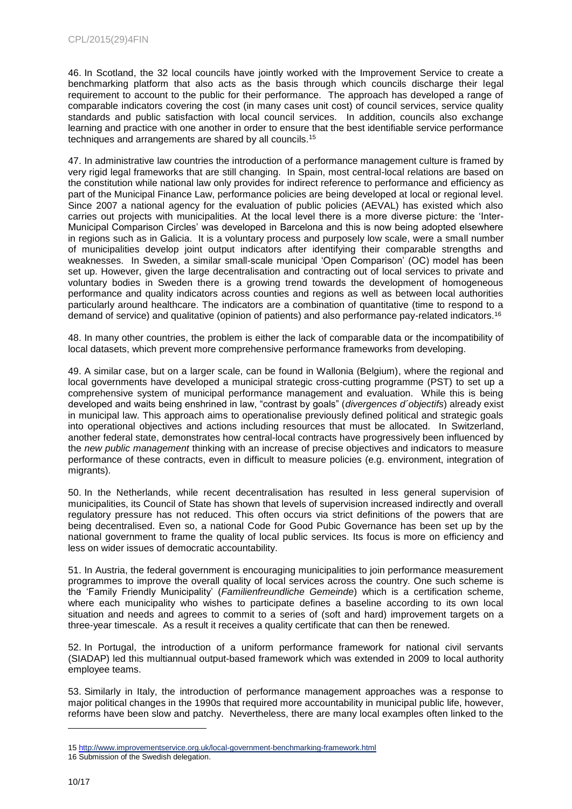46. In Scotland, the 32 local councils have jointly worked with the Improvement Service to create a benchmarking platform that also acts as the basis through which councils discharge their legal requirement to account to the public for their performance. The approach has developed a range of comparable indicators covering the cost (in many cases unit cost) of council services, service quality standards and public satisfaction with local council services. In addition, councils also exchange learning and practice with one another in order to ensure that the best identifiable service performance techniques and arrangements are shared by all councils.<sup>15</sup>

47. In administrative law countries the introduction of a performance management culture is framed by very rigid legal frameworks that are still changing. In Spain, most central-local relations are based on the constitution while national law only provides for indirect reference to performance and efficiency as part of the Municipal Finance Law, performance policies are being developed at local or regional level. Since 2007 a national agency for the evaluation of public policies (AEVAL) has existed which also carries out projects with municipalities. At the local level there is a more diverse picture: the 'Inter-Municipal Comparison Circles' was developed in Barcelona and this is now being adopted elsewhere in regions such as in Galicia. It is a voluntary process and purposely low scale, were a small number of municipalities develop joint output indicators after identifying their comparable strengths and weaknesses. In Sweden, a similar small-scale municipal 'Open Comparison' (OC) model has been set up. However, given the large decentralisation and contracting out of local services to private and voluntary bodies in Sweden there is a growing trend towards the development of homogeneous performance and quality indicators across counties and regions as well as between local authorities particularly around healthcare. The indicators are a combination of quantitative (time to respond to a demand of service) and qualitative (opinion of patients) and also performance pay-related indicators.<sup>16</sup>

48. In many other countries, the problem is either the lack of comparable data or the incompatibility of local datasets, which prevent more comprehensive performance frameworks from developing.

49. A similar case, but on a larger scale, can be found in Wallonia (Belgium), where the regional and local governments have developed a municipal strategic cross-cutting programme (PST) to set up a comprehensive system of municipal performance management and evaluation. While this is being developed and waits being enshrined in law, "contrast by goals" (*divergences d´objectifs*) already exist in municipal law. This approach aims to operationalise previously defined political and strategic goals into operational objectives and actions including resources that must be allocated. In Switzerland, another federal state, demonstrates how central-local contracts have progressively been influenced by the *new public management* thinking with an increase of precise objectives and indicators to measure performance of these contracts, even in difficult to measure policies (e.g. environment, integration of migrants).

50. In the Netherlands, while recent decentralisation has resulted in less general supervision of municipalities, its Council of State has shown that levels of supervision increased indirectly and overall regulatory pressure has not reduced. This often occurs via strict definitions of the powers that are being decentralised. Even so, a national Code for Good Pubic Governance has been set up by the national government to frame the quality of local public services. Its focus is more on efficiency and less on wider issues of democratic accountability.

51. In Austria, the federal government is encouraging municipalities to join performance measurement programmes to improve the overall quality of local services across the country. One such scheme is the 'Family Friendly Municipality' (*Familienfreundliche Gemeinde*) which is a certification scheme, where each municipality who wishes to participate defines a baseline according to its own local situation and needs and agrees to commit to a series of (soft and hard) improvement targets on a three-year timescale. As a result it receives a quality certificate that can then be renewed.

52. In Portugal, the introduction of a uniform performance framework for national civil servants (SIADAP) led this multiannual output-based framework which was extended in 2009 to local authority employee teams.

53. Similarly in Italy, the introduction of performance management approaches was a response to major political changes in the 1990s that required more accountability in municipal public life, however, reforms have been slow and patchy. Nevertheless, there are many local examples often linked to the

<sup>15</sup> <http://www.improvementservice.org.uk/local-government-benchmarking-framework.html>

<sup>16</sup> Submission of the Swedish delegation.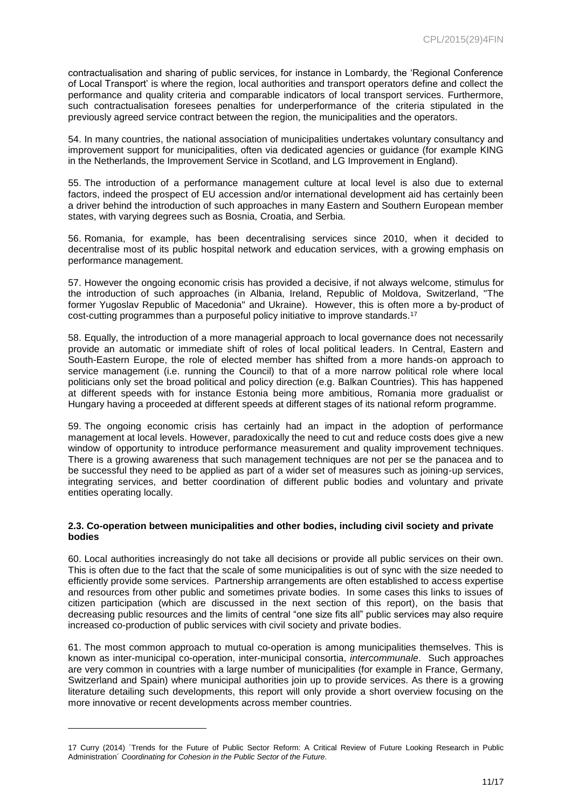contractualisation and sharing of public services, for instance in Lombardy, the 'Regional Conference of Local Transport' is where the region, local authorities and transport operators define and collect the performance and quality criteria and comparable indicators of local transport services. Furthermore, such contractualisation foresees penalties for underperformance of the criteria stipulated in the previously agreed service contract between the region, the municipalities and the operators.

54. In many countries, the national association of municipalities undertakes voluntary consultancy and improvement support for municipalities, often via dedicated agencies or guidance (for example KING in the Netherlands, the Improvement Service in Scotland, and LG Improvement in England).

55. The introduction of a performance management culture at local level is also due to external factors, indeed the prospect of EU accession and/or international development aid has certainly been a driver behind the introduction of such approaches in many Eastern and Southern European member states, with varying degrees such as Bosnia, Croatia, and Serbia.

56. Romania, for example, has been decentralising services since 2010, when it decided to decentralise most of its public hospital network and education services, with a growing emphasis on performance management.

57. However the ongoing economic crisis has provided a decisive, if not always welcome, stimulus for the introduction of such approaches (in Albania, Ireland, Republic of Moldova, Switzerland, ''The former Yugoslav Republic of Macedonia'' and Ukraine). However, this is often more a by-product of cost-cutting programmes than a purposeful policy initiative to improve standards.<sup>17</sup>

58. Equally, the introduction of a more managerial approach to local governance does not necessarily provide an automatic or immediate shift of roles of local political leaders. In Central, Eastern and South-Eastern Europe, the role of elected member has shifted from a more hands-on approach to service management (i.e. running the Council) to that of a more narrow political role where local politicians only set the broad political and policy direction (e.g. Balkan Countries). This has happened at different speeds with for instance Estonia being more ambitious, Romania more gradualist or Hungary having a proceeded at different speeds at different stages of its national reform programme.

59. The ongoing economic crisis has certainly had an impact in the adoption of performance management at local levels. However, paradoxically the need to cut and reduce costs does give a new window of opportunity to introduce performance measurement and quality improvement techniques. There is a growing awareness that such management techniques are not per se the panacea and to be successful they need to be applied as part of a wider set of measures such as joining-up services, integrating services, and better coordination of different public bodies and voluntary and private entities operating locally.

#### **2.3. Co-operation between municipalities and other bodies, including civil society and private bodies**

60. Local authorities increasingly do not take all decisions or provide all public services on their own. This is often due to the fact that the scale of some municipalities is out of sync with the size needed to efficiently provide some services. Partnership arrangements are often established to access expertise and resources from other public and sometimes private bodies. In some cases this links to issues of citizen participation (which are discussed in the next section of this report), on the basis that decreasing public resources and the limits of central "one size fits all" public services may also require increased co-production of public services with civil society and private bodies.

61. The most common approach to mutual co-operation is among municipalities themselves. This is known as inter-municipal co-operation, inter-municipal consortia, *intercommunale*. Such approaches are very common in countries with a large number of municipalities (for example in France, Germany, Switzerland and Spain) where municipal authorities join up to provide services. As there is a growing literature detailing such developments, this report will only provide a short overview focusing on the more innovative or recent developments across member countries.

<sup>17</sup> Curry (2014) ´Trends for the Future of Public Sector Reform: A Critical Review of Future Looking Research in Public Administration´ *Coordinating for Cohesion in the Public Sector of the Future.*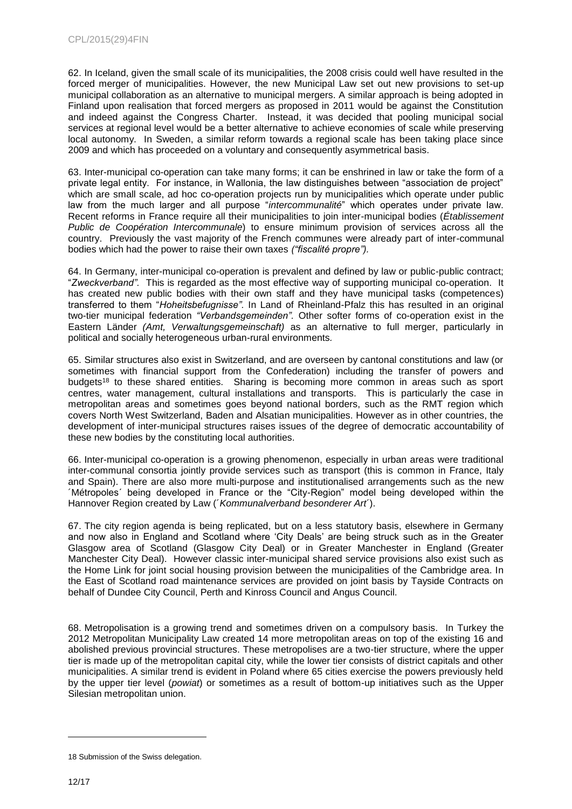62. In Iceland, given the small scale of its municipalities, the 2008 crisis could well have resulted in the forced merger of municipalities. However, the new Municipal Law set out new provisions to set-up municipal collaboration as an alternative to municipal mergers. A similar approach is being adopted in Finland upon realisation that forced mergers as proposed in 2011 would be against the Constitution and indeed against the Congress Charter. Instead, it was decided that pooling municipal social services at regional level would be a better alternative to achieve economies of scale while preserving local autonomy. In Sweden, a similar reform towards a regional scale has been taking place since 2009 and which has proceeded on a voluntary and consequently asymmetrical basis.

63. Inter-municipal co-operation can take many forms; it can be enshrined in law or take the form of a private legal entity. For instance, in Wallonia, the law distinguishes between "association de project" which are small scale, ad hoc co-operation projects run by municipalities which operate under public law from the much larger and all purpose "*intercommunalité*" which operates under private law. Recent reforms in France require all their municipalities to join inter-municipal bodies (*Établissement Public de Coopération Intercommunale*) to ensure minimum provision of services across all the country. Previously the vast majority of the French communes were already part of inter-communal bodies which had the power to raise their own taxes *("fiscalité propre").*

64. In Germany, inter-municipal co-operation is prevalent and defined by law or public-public contract; "*Zweckverband".* This is regarded as the most effective way of supporting municipal co-operation. It has created new public bodies with their own staff and they have municipal tasks (competences) transferred to them "*Hoheitsbefugnisse".* In Land of Rheinland-Pfalz this has resulted in an original two-tier municipal federation *"Verbandsgemeinden".* Other softer forms of co-operation exist in the Eastern Länder *(Amt, Verwaltungsgemeinschaft)* as an alternative to full merger, particularly in political and socially heterogeneous urban-rural environments*.*

65. Similar structures also exist in Switzerland, and are overseen by cantonal constitutions and law (or sometimes with financial support from the Confederation) including the transfer of powers and budgets<sup>18</sup> to these shared entities. Sharing is becoming more common in areas such as sport centres, water management, cultural installations and transports. This is particularly the case in metropolitan areas and sometimes goes beyond national borders, such as the RMT region which covers North West Switzerland, Baden and Alsatian municipalities. However as in other countries, the development of inter-municipal structures raises issues of the degree of democratic accountability of these new bodies by the constituting local authorities.

66. Inter-municipal co-operation is a growing phenomenon, especially in urban areas were traditional inter-communal consortia jointly provide services such as transport (this is common in France, Italy and Spain). There are also more multi-purpose and institutionalised arrangements such as the new ´Métropoles´ being developed in France or the "City-Region" model being developed within the Hannover Region created by Law (´*Kommunalverband besonderer Art*´).

67. The city region agenda is being replicated, but on a less statutory basis, elsewhere in Germany and now also in England and Scotland where 'City Deals' are being struck such as in the Greater Glasgow area of Scotland (Glasgow City Deal) or in Greater Manchester in England (Greater Manchester City Deal). However classic inter-municipal shared service provisions also exist such as the Home Link for joint social housing provision between the municipalities of the Cambridge area. In the East of Scotland road maintenance services are provided on joint basis by Tayside Contracts on behalf of Dundee City Council, Perth and Kinross Council and Angus Council.

68. Metropolisation is a growing trend and sometimes driven on a compulsory basis. In Turkey the 2012 Metropolitan Municipality Law created 14 more metropolitan areas on top of the existing 16 and abolished previous provincial structures. These metropolises are a two-tier structure, where the upper tier is made up of the metropolitan capital city, while the lower tier consists of district capitals and other municipalities. A similar trend is evident in Poland where 65 cities exercise the powers previously held by the upper tier level (*powiat*) or sometimes as a result of bottom-up initiatives such as the Upper Silesian metropolitan union.

<sup>18</sup> Submission of the Swiss delegation.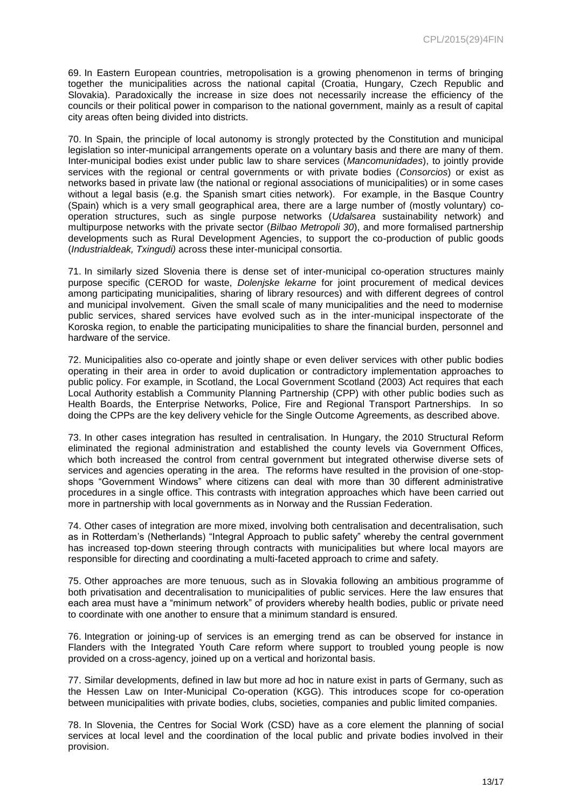69. In Eastern European countries, metropolisation is a growing phenomenon in terms of bringing together the municipalities across the national capital (Croatia, Hungary, Czech Republic and Slovakia). Paradoxically the increase in size does not necessarily increase the efficiency of the councils or their political power in comparison to the national government, mainly as a result of capital city areas often being divided into districts.

70. In Spain, the principle of local autonomy is strongly protected by the Constitution and municipal legislation so inter-municipal arrangements operate on a voluntary basis and there are many of them. Inter-municipal bodies exist under public law to share services (*Mancomunidades*), to jointly provide services with the regional or central governments or with private bodies (*Consorcios*) or exist as networks based in private law (the national or regional associations of municipalities) or in some cases without a legal basis (e.g. the Spanish smart cities network). For example, in the Basque Country (Spain) which is a very small geographical area, there are a large number of (mostly voluntary) cooperation structures, such as single purpose networks (*Udalsarea* sustainability network) and multipurpose networks with the private sector (*Bilbao Metropoli 30*), and more formalised partnership developments such as Rural Development Agencies, to support the co-production of public goods (*Industrialdeak, Txingudi)* across these inter-municipal consortia.

71. In similarly sized Slovenia there is dense set of inter-municipal co-operation structures mainly purpose specific (CEROD for waste, *Dolenjske lekarne* for joint procurement of medical devices among participating municipalities, sharing of library resources) and with different degrees of control and municipal involvement. Given the small scale of many municipalities and the need to modernise public services, shared services have evolved such as in the inter-municipal inspectorate of the Koroska region, to enable the participating municipalities to share the financial burden, personnel and hardware of the service.

72. Municipalities also co-operate and jointly shape or even deliver services with other public bodies operating in their area in order to avoid duplication or contradictory implementation approaches to public policy. For example, in Scotland, the Local Government Scotland (2003) Act requires that each Local Authority establish a Community Planning Partnership (CPP) with other public bodies such as Health Boards, the Enterprise Networks, Police, Fire and Regional Transport Partnerships. In so doing the CPPs are the key delivery vehicle for the Single Outcome Agreements, as described above.

73. In other cases integration has resulted in centralisation. In Hungary, the 2010 Structural Reform eliminated the regional administration and established the county levels via Government Offices, which both increased the control from central government but integrated otherwise diverse sets of services and agencies operating in the area. The reforms have resulted in the provision of one-stopshops "Government Windows" where citizens can deal with more than 30 different administrative procedures in a single office. This contrasts with integration approaches which have been carried out more in partnership with local governments as in Norway and the Russian Federation.

74. Other cases of integration are more mixed, involving both centralisation and decentralisation, such as in Rotterdam's (Netherlands) "Integral Approach to public safety" whereby the central government has increased top-down steering through contracts with municipalities but where local mayors are responsible for directing and coordinating a multi-faceted approach to crime and safety.

75. Other approaches are more tenuous, such as in Slovakia following an ambitious programme of both privatisation and decentralisation to municipalities of public services. Here the law ensures that each area must have a "minimum network" of providers whereby health bodies, public or private need to coordinate with one another to ensure that a minimum standard is ensured.

76. Integration or joining-up of services is an emerging trend as can be observed for instance in Flanders with the Integrated Youth Care reform where support to troubled young people is now provided on a cross-agency, joined up on a vertical and horizontal basis.

77. Similar developments, defined in law but more ad hoc in nature exist in parts of Germany, such as the Hessen Law on Inter-Municipal Co-operation (KGG). This introduces scope for co-operation between municipalities with private bodies, clubs, societies, companies and public limited companies.

78. In Slovenia, the Centres for Social Work (CSD) have as a core element the planning of social services at local level and the coordination of the local public and private bodies involved in their provision.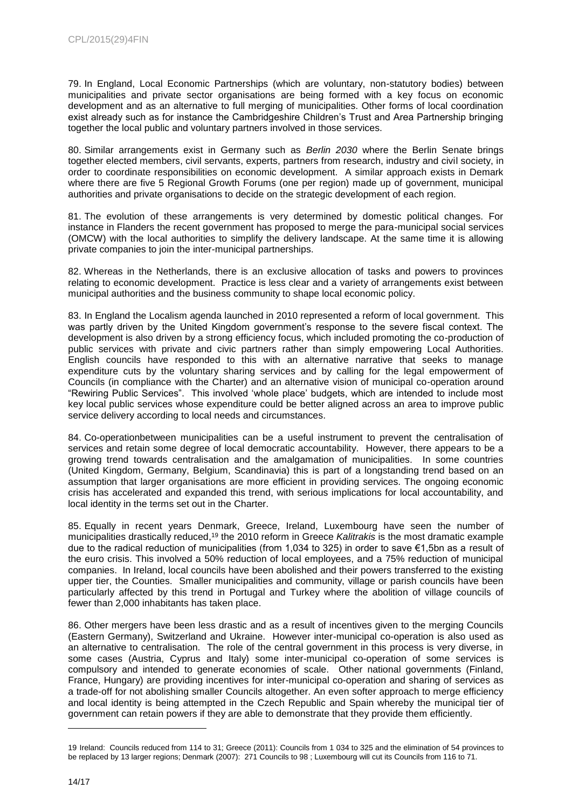79. In England, Local Economic Partnerships (which are voluntary, non-statutory bodies) between municipalities and private sector organisations are being formed with a key focus on economic development and as an alternative to full merging of municipalities. Other forms of local coordination exist already such as for instance the Cambridgeshire Children's Trust and Area Partnership bringing together the local public and voluntary partners involved in those services.

80. Similar arrangements exist in Germany such as *Berlin 2030* where the Berlin Senate brings together elected members, civil servants, experts, partners from research, industry and civil society, in order to coordinate responsibilities on economic development. A similar approach exists in Demark where there are five 5 Regional Growth Forums (one per region) made up of government, municipal authorities and private organisations to decide on the strategic development of each region.

81. The evolution of these arrangements is very determined by domestic political changes. For instance in Flanders the recent government has proposed to merge the para-municipal social services (OMCW) with the local authorities to simplify the delivery landscape. At the same time it is allowing private companies to join the inter-municipal partnerships.

82. Whereas in the Netherlands, there is an exclusive allocation of tasks and powers to provinces relating to economic development. Practice is less clear and a variety of arrangements exist between municipal authorities and the business community to shape local economic policy.

83. In England the Localism agenda launched in 2010 represented a reform of local government. This was partly driven by the United Kingdom government's response to the severe fiscal context. The development is also driven by a strong efficiency focus, which included promoting the co-production of public services with private and civic partners rather than simply empowering Local Authorities. English councils have responded to this with an alternative narrative that seeks to manage expenditure cuts by the voluntary sharing services and by calling for the legal empowerment of Councils (in compliance with the Charter) and an alternative vision of municipal co-operation around "Rewiring Public Services". This involved 'whole place' budgets, which are intended to include most key local public services whose expenditure could be better aligned across an area to improve public service delivery according to local needs and circumstances.

84. Co-operationbetween municipalities can be a useful instrument to prevent the centralisation of services and retain some degree of local democratic accountability. However, there appears to be a growing trend towards centralisation and the amalgamation of municipalities. In some countries (United Kingdom, Germany, Belgium, Scandinavia) this is part of a longstanding trend based on an assumption that larger organisations are more efficient in providing services. The ongoing economic crisis has accelerated and expanded this trend, with serious implications for local accountability, and local identity in the terms set out in the Charter.

85. Equally in recent years Denmark, Greece, Ireland, Luxembourg have seen the number of municipalities drastically reduced, <sup>19</sup> the 2010 reform in Greece *Kalitrakis* is the most dramatic example due to the radical reduction of municipalities (from 1,034 to 325) in order to save €1,5bn as a result of the euro crisis. This involved a 50% reduction of local employees, and a 75% reduction of municipal companies. In Ireland, local councils have been abolished and their powers transferred to the existing upper tier, the Counties. Smaller municipalities and community, village or parish councils have been particularly affected by this trend in Portugal and Turkey where the abolition of village councils of fewer than 2,000 inhabitants has taken place.

86. Other mergers have been less drastic and as a result of incentives given to the merging Councils (Eastern Germany), Switzerland and Ukraine. However inter-municipal co-operation is also used as an alternative to centralisation. The role of the central government in this process is very diverse, in some cases (Austria, Cyprus and Italy) some inter-municipal co-operation of some services is compulsory and intended to generate economies of scale. Other national governments (Finland, France, Hungary) are providing incentives for inter-municipal co-operation and sharing of services as a trade-off for not abolishing smaller Councils altogether. An even softer approach to merge efficiency and local identity is being attempted in the Czech Republic and Spain whereby the municipal tier of government can retain powers if they are able to demonstrate that they provide them efficiently.

<sup>19</sup> Ireland: Councils reduced from 114 to 31; Greece (2011): Councils from 1 034 to 325 and the elimination of 54 provinces to be replaced by 13 larger regions; Denmark (2007): 271 Councils to 98 ; Luxembourg will cut its Councils from 116 to 71.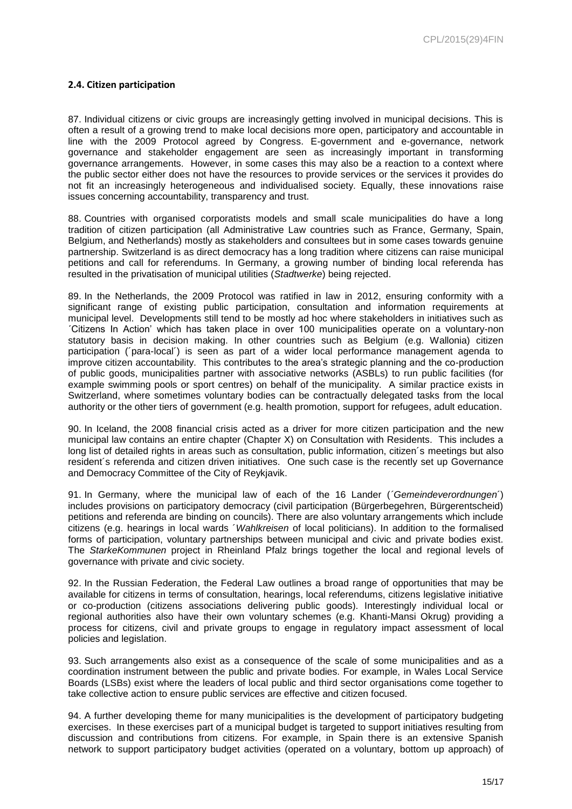# **2.4. Citizen participation**

87. Individual citizens or civic groups are increasingly getting involved in municipal decisions. This is often a result of a growing trend to make local decisions more open, participatory and accountable in line with the 2009 Protocol agreed by Congress. E-government and e-governance, network governance and stakeholder engagement are seen as increasingly important in transforming governance arrangements. However, in some cases this may also be a reaction to a context where the public sector either does not have the resources to provide services or the services it provides do not fit an increasingly heterogeneous and individualised society. Equally, these innovations raise issues concerning accountability, transparency and trust.

88. Countries with organised corporatists models and small scale municipalities do have a long tradition of citizen participation (all Administrative Law countries such as France, Germany, Spain, Belgium, and Netherlands) mostly as stakeholders and consultees but in some cases towards genuine partnership. Switzerland is as direct democracy has a long tradition where citizens can raise municipal petitions and call for referendums. In Germany, a growing number of binding local referenda has resulted in the privatisation of municipal utilities (*Stadtwerke*) being rejected.

89. In the Netherlands, the 2009 Protocol was ratified in law in 2012, ensuring conformity with a significant range of existing public participation, consultation and information requirements at municipal level. Developments still tend to be mostly ad hoc where stakeholders in initiatives such as ´Citizens In Action' which has taken place in over 100 municipalities operate on a voluntary-non statutory basis in decision making. In other countries such as Belgium (e.g. Wallonia) citizen participation (´para-local´) is seen as part of a wider local performance management agenda to improve citizen accountability. This contributes to the area's strategic planning and the co-production of public goods, municipalities partner with associative networks (ASBLs) to run public facilities (for example swimming pools or sport centres) on behalf of the municipality. A similar practice exists in Switzerland, where sometimes voluntary bodies can be contractually delegated tasks from the local authority or the other tiers of government (e.g. health promotion, support for refugees, adult education.

90. In Iceland, the 2008 financial crisis acted as a driver for more citizen participation and the new municipal law contains an entire chapter (Chapter X) on Consultation with Residents. This includes a long list of detailed rights in areas such as consultation, public information, citizen´s meetings but also resident´s referenda and citizen driven initiatives. One such case is the recently set up Governance and Democracy Committee of the City of Reykjavik.

91. In Germany, where the municipal law of each of the 16 Lander (*´Gemeindeverordnungen*´) includes provisions on participatory democracy (civil participation (Bürgerbegehren, Bürgerentscheid) petitions and referenda are binding on councils). There are also voluntary arrangements which include citizens (e.g. hearings in local wards ´*Wahlkreisen* of local politicians). In addition to the formalised forms of participation, voluntary partnerships between municipal and civic and private bodies exist. The *StarkeKommunen* project in Rheinland Pfalz brings together the local and regional levels of governance with private and civic society.

92. In the Russian Federation, the Federal Law outlines a broad range of opportunities that may be available for citizens in terms of consultation, hearings, local referendums, citizens legislative initiative or co-production (citizens associations delivering public goods). Interestingly individual local or regional authorities also have their own voluntary schemes (e.g. Khanti-Mansi Okrug) providing a process for citizens, civil and private groups to engage in regulatory impact assessment of local policies and legislation.

93. Such arrangements also exist as a consequence of the scale of some municipalities and as a coordination instrument between the public and private bodies. For example, in Wales Local Service Boards (LSBs) exist where the leaders of local public and third sector organisations come together to take collective action to ensure public services are effective and citizen focused.

94. A further developing theme for many municipalities is the development of participatory budgeting exercises. In these exercises part of a municipal budget is targeted to support initiatives resulting from discussion and contributions from citizens. For example, in Spain there is an extensive Spanish network to support participatory budget activities (operated on a voluntary, bottom up approach) of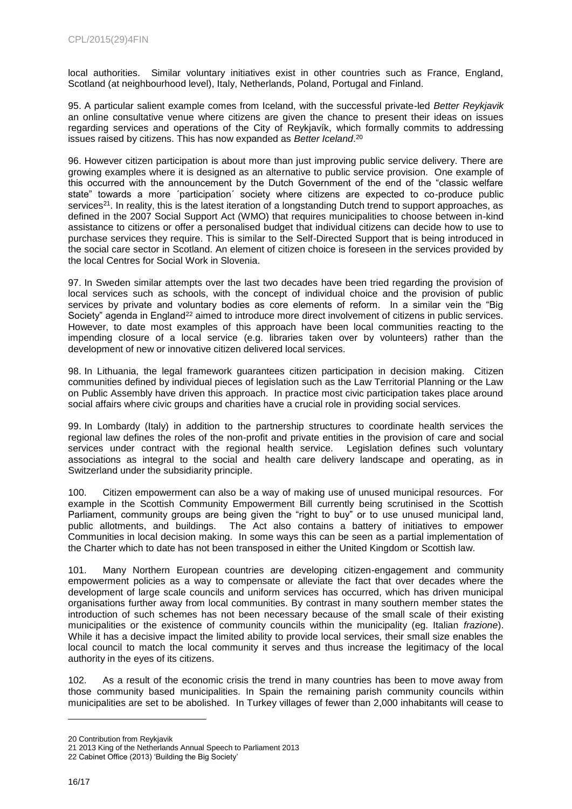local authorities. Similar voluntary initiatives exist in other countries such as France, England, Scotland (at neighbourhood level), Italy, Netherlands, Poland, Portugal and Finland.

95. A particular salient example comes from Iceland, with the successful private-led *Better Reykjavik* an online consultative venue where citizens are given the chance to present their ideas on issues regarding services and operations of the City of Reykjavík, which formally commits to addressing issues raised by citizens. This has now expanded as *Better Iceland*. 20

96. However citizen participation is about more than just improving public service delivery. There are growing examples where it is designed as an alternative to public service provision. One example of this occurred with the announcement by the Dutch Government of the end of the "classic welfare state" towards a more ´participation´ society where citizens are expected to co-produce public services<sup>21</sup>. In reality, this is the latest iteration of a longstanding Dutch trend to support approaches, as defined in the 2007 Social Support Act (WMO) that requires municipalities to choose between in-kind assistance to citizens or offer a personalised budget that individual citizens can decide how to use to purchase services they require. This is similar to the Self-Directed Support that is being introduced in the social care sector in Scotland. An element of citizen choice is foreseen in the services provided by the local Centres for Social Work in Slovenia.

97. In Sweden similar attempts over the last two decades have been tried regarding the provision of local services such as schools, with the concept of individual choice and the provision of public services by private and voluntary bodies as core elements of reform. In a similar vein the "Big Society" agenda in England<sup>22</sup> aimed to introduce more direct involvement of citizens in public services. However, to date most examples of this approach have been local communities reacting to the impending closure of a local service (e.g. libraries taken over by volunteers) rather than the development of new or innovative citizen delivered local services.

98. In Lithuania, the legal framework guarantees citizen participation in decision making. Citizen communities defined by individual pieces of legislation such as the Law Territorial Planning or the Law on Public Assembly have driven this approach. In practice most civic participation takes place around social affairs where civic groups and charities have a crucial role in providing social services.

99. In Lombardy (Italy) in addition to the partnership structures to coordinate health services the regional law defines the roles of the non-profit and private entities in the provision of care and social services under contract with the regional health service. Legislation defines such voluntary associations as integral to the social and health care delivery landscape and operating, as in Switzerland under the subsidiarity principle.

100. Citizen empowerment can also be a way of making use of unused municipal resources. For example in the Scottish Community Empowerment Bill currently being scrutinised in the Scottish Parliament, community groups are being given the "right to buy" or to use unused municipal land, public allotments, and buildings. The Act also contains a battery of initiatives to empower Communities in local decision making. In some ways this can be seen as a partial implementation of the Charter which to date has not been transposed in either the United Kingdom or Scottish law.

101. Many Northern European countries are developing citizen-engagement and community empowerment policies as a way to compensate or alleviate the fact that over decades where the development of large scale councils and uniform services has occurred, which has driven municipal organisations further away from local communities. By contrast in many southern member states the introduction of such schemes has not been necessary because of the small scale of their existing municipalities or the existence of community councils within the municipality (eg. Italian *frazione*). While it has a decisive impact the limited ability to provide local services, their small size enables the local council to match the local community it serves and thus increase the legitimacy of the local authority in the eyes of its citizens.

102. As a result of the economic crisis the trend in many countries has been to move away from those community based municipalities. In Spain the remaining parish community councils within municipalities are set to be abolished. In Turkey villages of fewer than 2,000 inhabitants will cease to

<sup>20</sup> Contribution from Reykjavik

<sup>21</sup> 2013 King of the Netherlands Annual Speech to Parliament 2013

<sup>22</sup> Cabinet Office (2013) 'Building the Big Society'